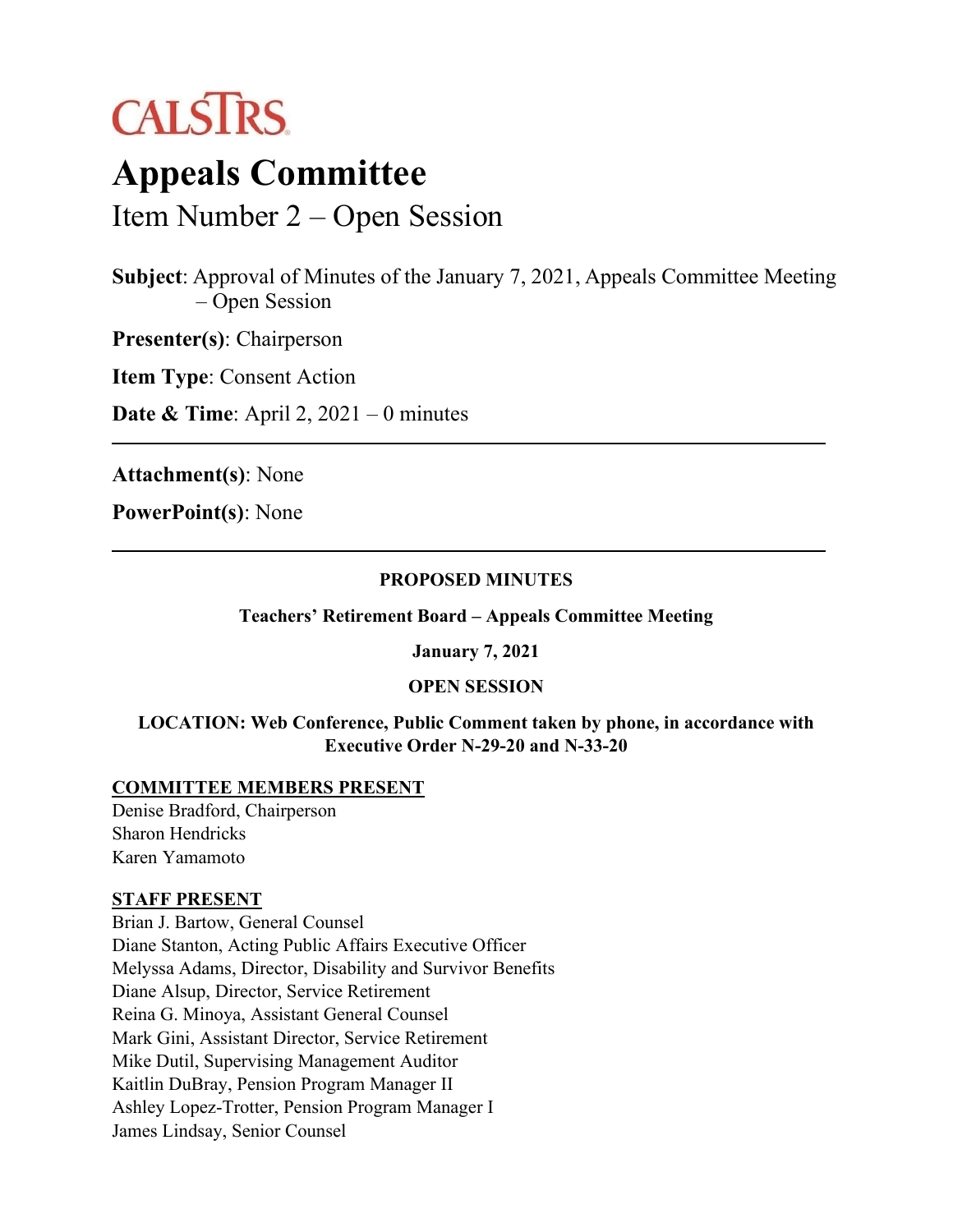

# **Appeals Committee**

Item Number 2 – Open Session

**Subject**: Approval of Minutes of the January 7, 2021, Appeals Committee Meeting – Open Session

**Presenter(s)**: Chairperson

**Item Type**: Consent Action

**Date & Time**: April 2, 2021 – 0 minutes

**Attachment(s)**: None

**PowerPoint(s)**: None

#### **PROPOSED MINUTES**

**Teachers' Retirement Board – Appeals Committee Meeting**

**January 7, 2021** 

#### **OPEN SESSION**

#### **LOCATION: Web Conference, Public Comment taken by phone, in accordance with Executive Order N-29-20 and N-33-20**

#### **COMMITTEE MEMBERS PRESENT**

Denise Bradford, Chairperson Sharon Hendricks Karen Yamamoto

#### **STAFF PRESENT**

Brian J. Bartow, General Counsel Diane Stanton, Acting Public Affairs Executive Officer Melyssa Adams, Director, Disability and Survivor Benefits Diane Alsup, Director, Service Retirement Reina G. Minoya, Assistant General Counsel Mark Gini, Assistant Director, Service Retirement Mike Dutil, Supervising Management Auditor Kaitlin DuBray, Pension Program Manager II Ashley Lopez-Trotter, Pension Program Manager I James Lindsay, Senior Counsel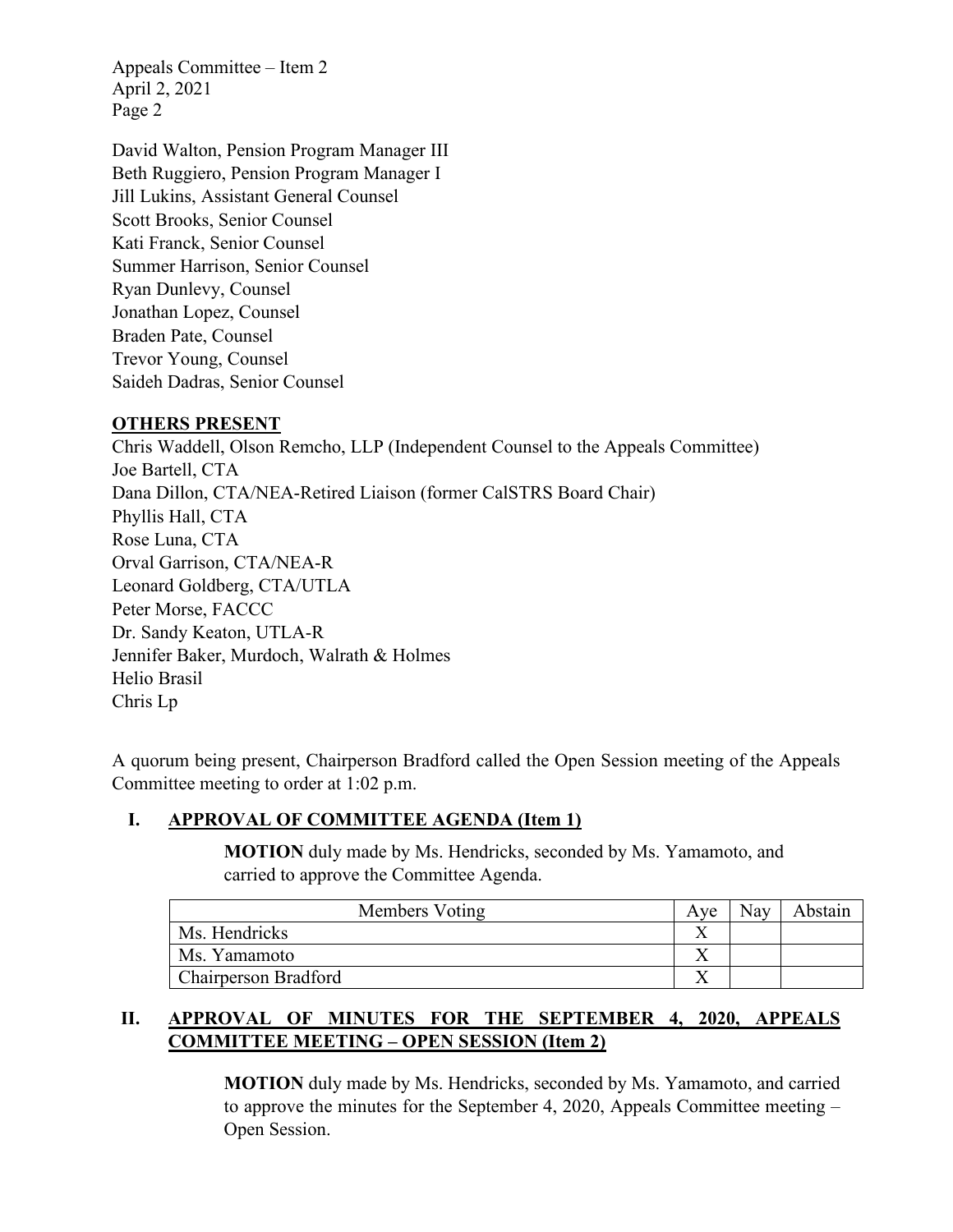Appeals Committee – Item 2 April 2, 2021 Page 2

David Walton, Pension Program Manager III Beth Ruggiero, Pension Program Manager I Jill Lukins, Assistant General Counsel Scott Brooks, Senior Counsel Kati Franck, Senior Counsel Summer Harrison, Senior Counsel Ryan Dunlevy, Counsel Jonathan Lopez, Counsel Braden Pate, Counsel Trevor Young, Counsel Saideh Dadras, Senior Counsel

### **OTHERS PRESENT**

Chris Waddell, Olson Remcho, LLP (Independent Counsel to the Appeals Committee) Joe Bartell, CTA Dana Dillon, CTA/NEA-Retired Liaison (former CalSTRS Board Chair) Phyllis Hall, CTA Rose Luna, CTA Orval Garrison, CTA/NEA-R Leonard Goldberg, CTA/UTLA Peter Morse, FACCC Dr. Sandy Keaton, UTLA-R Jennifer Baker, Murdoch, Walrath & Holmes Helio Brasil Chris Lp

A quorum being present, Chairperson Bradford called the Open Session meeting of the Appeals Committee meeting to order at 1:02 p.m.

# **I. APPROVAL OF COMMITTEE AGENDA (Item 1)**

**MOTION** duly made by Ms. Hendricks, seconded by Ms. Yamamoto, and carried to approve the Committee Agenda.

| Members Voting              | Ave | Nay | A bstain |
|-----------------------------|-----|-----|----------|
| Ms. Hendricks               |     |     |          |
| Ms. Yamamoto                |     |     |          |
| <b>Chairperson Bradford</b> |     |     |          |

# **II. APPROVAL OF MINUTES FOR THE SEPTEMBER 4, 2020, APPEALS COMMITTEE MEETING – OPEN SESSION (Item 2)**

**MOTION** duly made by Ms. Hendricks, seconded by Ms. Yamamoto, and carried to approve the minutes for the September 4, 2020, Appeals Committee meeting – Open Session.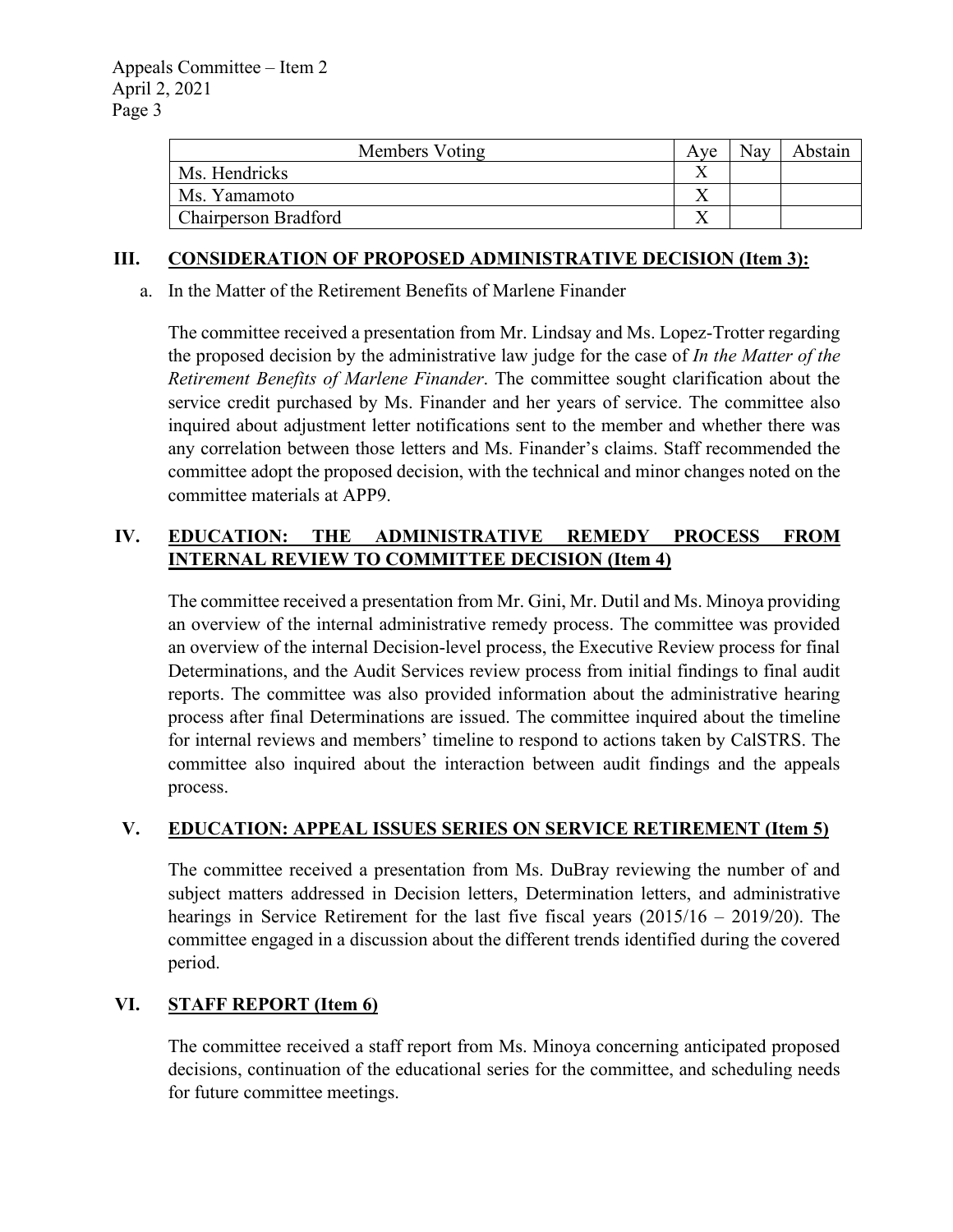| Members Voting              | Ave | Nay | Abstain |
|-----------------------------|-----|-----|---------|
| Ms. Hendricks               |     |     |         |
| Ms. Yamamoto                |     |     |         |
| <b>Chairperson Bradford</b> |     |     |         |

#### **III. CONSIDERATION OF PROPOSED ADMINISTRATIVE DECISION (Item 3):**

a. In the Matter of the Retirement Benefits of Marlene Finander

The committee received a presentation from Mr. Lindsay and Ms. Lopez-Trotter regarding the proposed decision by the administrative law judge for the case of *In the Matter of the Retirement Benefits of Marlene Finander*. The committee sought clarification about the service credit purchased by Ms. Finander and her years of service. The committee also inquired about adjustment letter notifications sent to the member and whether there was any correlation between those letters and Ms. Finander's claims. Staff recommended the committee adopt the proposed decision, with the technical and minor changes noted on the committee materials at APP9.

## **IV. EDUCATION: THE ADMINISTRATIVE REMEDY PROCESS FROM INTERNAL REVIEW TO COMMITTEE DECISION (Item 4)**

The committee received a presentation from Mr. Gini, Mr. Dutil and Ms. Minoya providing an overview of the internal administrative remedy process. The committee was provided an overview of the internal Decision-level process, the Executive Review process for final Determinations, and the Audit Services review process from initial findings to final audit reports. The committee was also provided information about the administrative hearing process after final Determinations are issued. The committee inquired about the timeline for internal reviews and members' timeline to respond to actions taken by CalSTRS. The committee also inquired about the interaction between audit findings and the appeals process.

### **V. EDUCATION: APPEAL ISSUES SERIES ON SERVICE RETIREMENT (Item 5)**

The committee received a presentation from Ms. DuBray reviewing the number of and subject matters addressed in Decision letters, Determination letters, and administrative hearings in Service Retirement for the last five fiscal years (2015/16 – 2019/20). The committee engaged in a discussion about the different trends identified during the covered period.

### **VI. STAFF REPORT (Item 6)**

The committee received a staff report from Ms. Minoya concerning anticipated proposed decisions, continuation of the educational series for the committee, and scheduling needs for future committee meetings.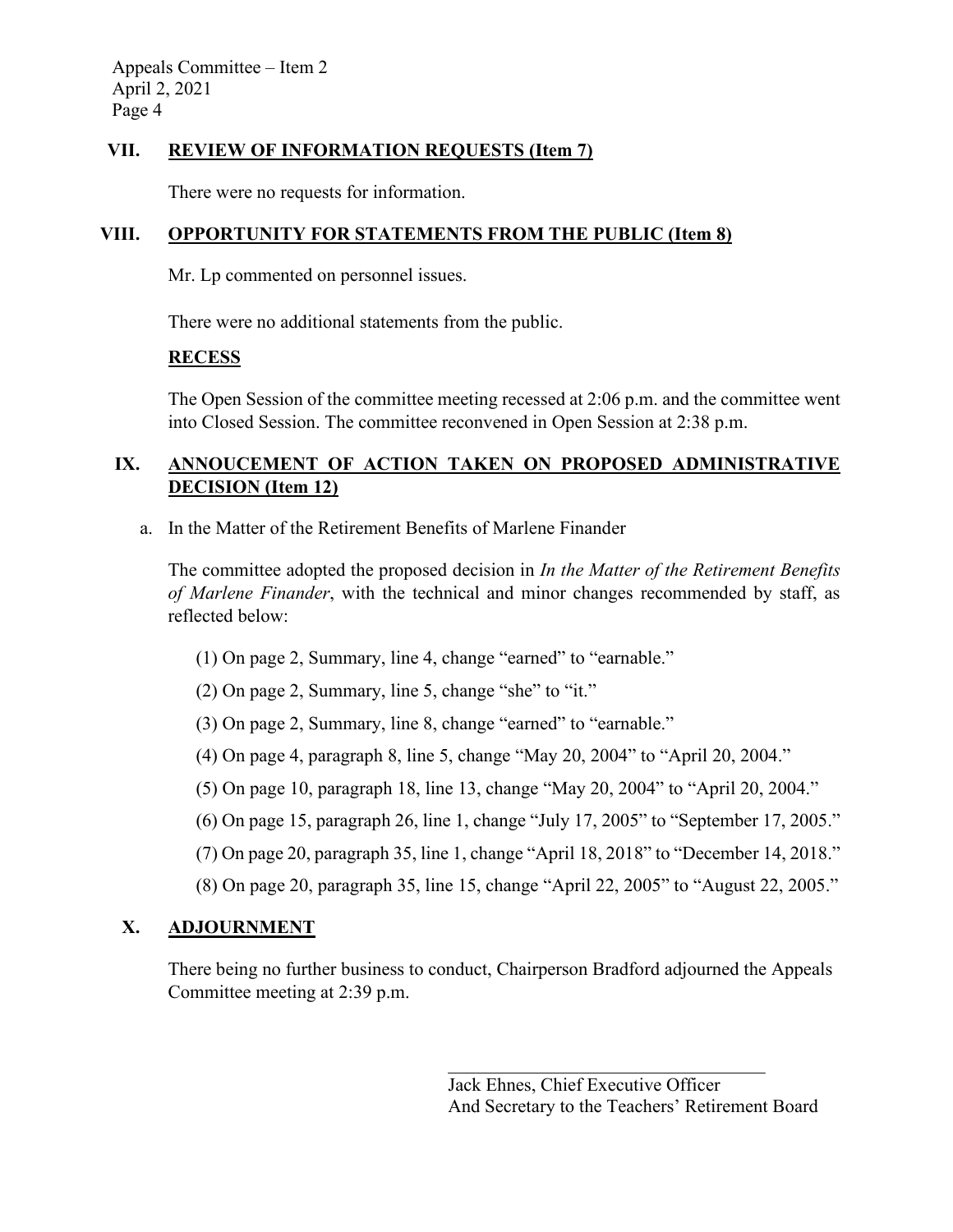Appeals Committee – Item 2 April 2, 2021 Page 4

### **VII. REVIEW OF INFORMATION REQUESTS (Item 7)**

There were no requests for information.

## **VIII. OPPORTUNITY FOR STATEMENTS FROM THE PUBLIC (Item 8)**

Mr. Lp commented on personnel issues.

There were no additional statements from the public.

### **RECESS**

The Open Session of the committee meeting recessed at 2:06 p.m. and the committee went into Closed Session. The committee reconvened in Open Session at 2:38 p.m.

# **IX. ANNOUCEMENT OF ACTION TAKEN ON PROPOSED ADMINISTRATIVE DECISION (Item 12)**

a. In the Matter of the Retirement Benefits of Marlene Finander

The committee adopted the proposed decision in *In the Matter of the Retirement Benefits of Marlene Finander*, with the technical and minor changes recommended by staff, as reflected below:

- (1) On page 2, Summary, line 4, change "earned" to "earnable."
- (2) On page 2, Summary, line 5, change "she" to "it."
- (3) On page 2, Summary, line 8, change "earned" to "earnable."
- (4) On page 4, paragraph 8, line 5, change "May 20, 2004" to "April 20, 2004."
- (5) On page 10, paragraph 18, line 13, change "May 20, 2004" to "April 20, 2004."
- (6) On page 15, paragraph 26, line 1, change "July 17, 2005" to "September 17, 2005."
- (7) On page 20, paragraph 35, line 1, change "April 18, 2018" to "December 14, 2018."
- (8) On page 20, paragraph 35, line 15, change "April 22, 2005" to "August 22, 2005."

# **X. ADJOURNMENT**

There being no further business to conduct, Chairperson Bradford adjourned the Appeals Committee meeting at 2:39 p.m.